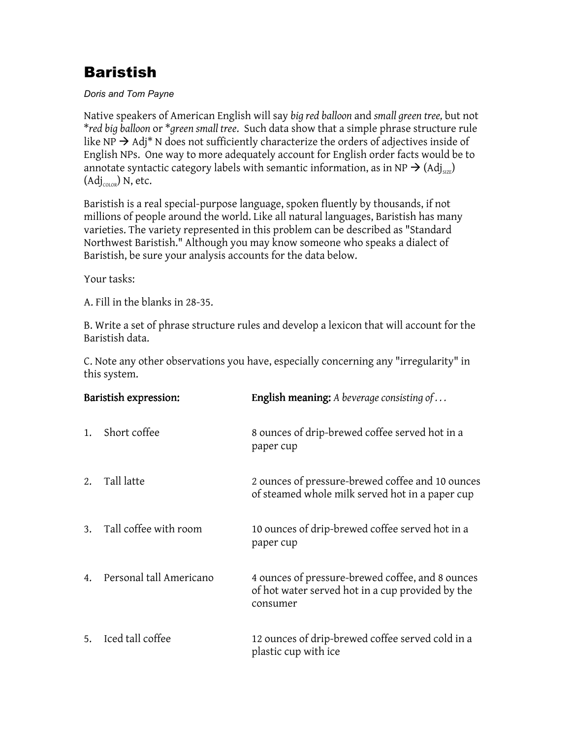# Baristish

#### Doris and Tom Payne

Native speakers of American English will say big red balloon and small green tree, but not \*red big balloon or \*green small tree. Such data show that a simple phrase structure rule like NP  $\rightarrow$  Adj\* N does not sufficiently characterize the orders of adjectives inside of English NPs. One way to more adequately account for English order facts would be to annotate syntactic category labels with semantic information, as in NP  $\rightarrow$  (Adj<sub>SIZE</sub>)  $(Adj_{\text{co}})$  N, etc.

Baristish is a real special-purpose language, spoken fluently by thousands, if not millions of people around the world. Like all natural languages, Baristish has many varieties. The variety represented in this problem can be described as "Standard Northwest Baristish." Although you may know someone who speaks a dialect of Baristish, be sure your analysis accounts for the data below.

Your tasks:

A. Fill in the blanks in 28-35.

B. Write a set of phrase structure rules and develop a lexicon that will account for the Baristish data.

C. Note any other observations you have, especially concerning any "irregularity" in this system.

| Baristish expression: |                         | <b>English meaning:</b> A beverage consisting of                                                                 |
|-----------------------|-------------------------|------------------------------------------------------------------------------------------------------------------|
| 1.                    | Short coffee            | 8 ounces of drip-brewed coffee served hot in a<br>paper cup                                                      |
| 2.                    | Tall latte              | 2 ounces of pressure-brewed coffee and 10 ounces<br>of steamed whole milk served hot in a paper cup              |
| 3.                    | Tall coffee with room   | 10 ounces of drip-brewed coffee served hot in a<br>paper cup                                                     |
| 4.                    | Personal tall Americano | 4 ounces of pressure-brewed coffee, and 8 ounces<br>of hot water served hot in a cup provided by the<br>consumer |
| 5.                    | Iced tall coffee        | 12 ounces of drip-brewed coffee served cold in a<br>plastic cup with ice                                         |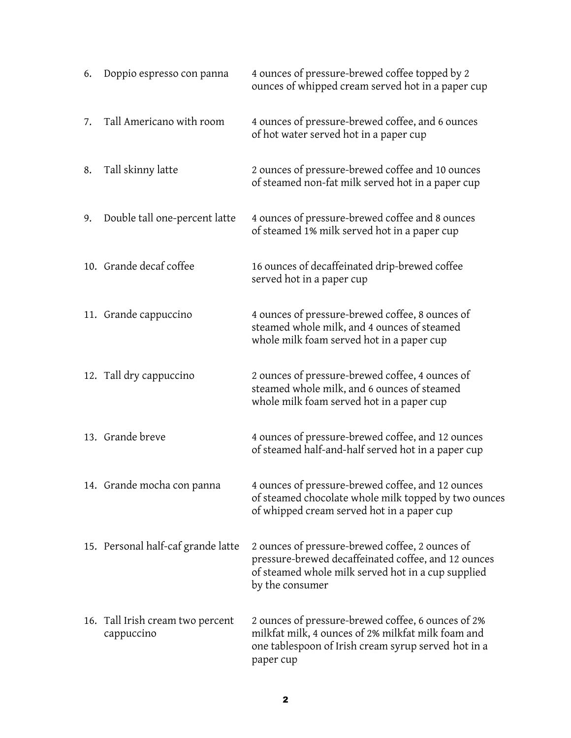| 6. | Doppio espresso con panna                      | 4 ounces of pressure-brewed coffee topped by 2<br>ounces of whipped cream served hot in a paper cup                                                                             |
|----|------------------------------------------------|---------------------------------------------------------------------------------------------------------------------------------------------------------------------------------|
| 7. | Tall Americano with room                       | 4 ounces of pressure-brewed coffee, and 6 ounces<br>of hot water served hot in a paper cup                                                                                      |
| 8. | Tall skinny latte                              | 2 ounces of pressure-brewed coffee and 10 ounces<br>of steamed non-fat milk served hot in a paper cup                                                                           |
| 9. | Double tall one-percent latte                  | 4 ounces of pressure-brewed coffee and 8 ounces<br>of steamed 1% milk served hot in a paper cup                                                                                 |
|    | 10. Grande decaf coffee                        | 16 ounces of decaffeinated drip-brewed coffee<br>served hot in a paper cup                                                                                                      |
|    | 11. Grande cappuccino                          | 4 ounces of pressure-brewed coffee, 8 ounces of<br>steamed whole milk, and 4 ounces of steamed<br>whole milk foam served hot in a paper cup                                     |
|    | 12. Tall dry cappuccino                        | 2 ounces of pressure-brewed coffee, 4 ounces of<br>steamed whole milk, and 6 ounces of steamed<br>whole milk foam served hot in a paper cup                                     |
|    | 13. Grande breve                               | 4 ounces of pressure-brewed coffee, and 12 ounces<br>of steamed half-and-half served hot in a paper cup                                                                         |
|    | 14. Grande mocha con panna                     | 4 ounces of pressure-brewed coffee, and 12 ounces<br>of steamed chocolate whole milk topped by two ounces<br>of whipped cream served hot in a paper cup                         |
|    | 15. Personal half-caf grande latte             | 2 ounces of pressure-brewed coffee, 2 ounces of<br>pressure-brewed decaffeinated coffee, and 12 ounces<br>of steamed whole milk served hot in a cup supplied<br>by the consumer |
|    | 16. Tall Irish cream two percent<br>cappuccino | 2 ounces of pressure-brewed coffee, 6 ounces of 2%<br>milkfat milk, 4 ounces of 2% milkfat milk foam and<br>one tablespoon of Irish cream syrup served hot in a<br>paper cup    |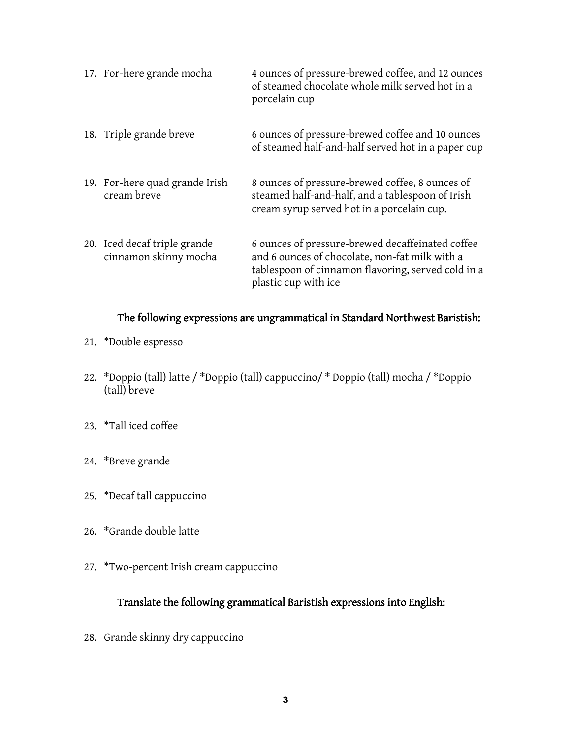| 17. For-here grande mocha                             | 4 ounces of pressure-brewed coffee, and 12 ounces<br>of steamed chocolate whole milk served hot in a<br>porcelain cup                                                            |
|-------------------------------------------------------|----------------------------------------------------------------------------------------------------------------------------------------------------------------------------------|
| 18. Triple grande breve                               | 6 ounces of pressure-brewed coffee and 10 ounces<br>of steamed half-and-half served hot in a paper cup                                                                           |
| 19. For-here quad grande Irish<br>cream breve         | 8 ounces of pressure-brewed coffee, 8 ounces of<br>steamed half-and-half, and a tablespoon of Irish<br>cream syrup served hot in a porcelain cup.                                |
| 20. Iced decaf triple grande<br>cinnamon skinny mocha | 6 ounces of pressure-brewed decaffeinated coffee<br>and 6 ounces of chocolate, non-fat milk with a<br>tablespoon of cinnamon flavoring, served cold in a<br>plastic cup with ice |

#### The following expressions are ungrammatical in Standard Northwest Baristish:

- 21. \*Double espresso
- 22. \*Doppio (tall) latte / \*Doppio (tall) cappuccino/ \* Doppio (tall) mocha / \*Doppio (tall) breve
- 23. \*Tall iced coffee
- 24. \*Breve grande
- 25. \*Decaf tall cappuccino
- 26. \*Grande double latte
- 27. \*Two-percent Irish cream cappuccino

### Translate the following grammatical Baristish expressions into English:

28. Grande skinny dry cappuccino